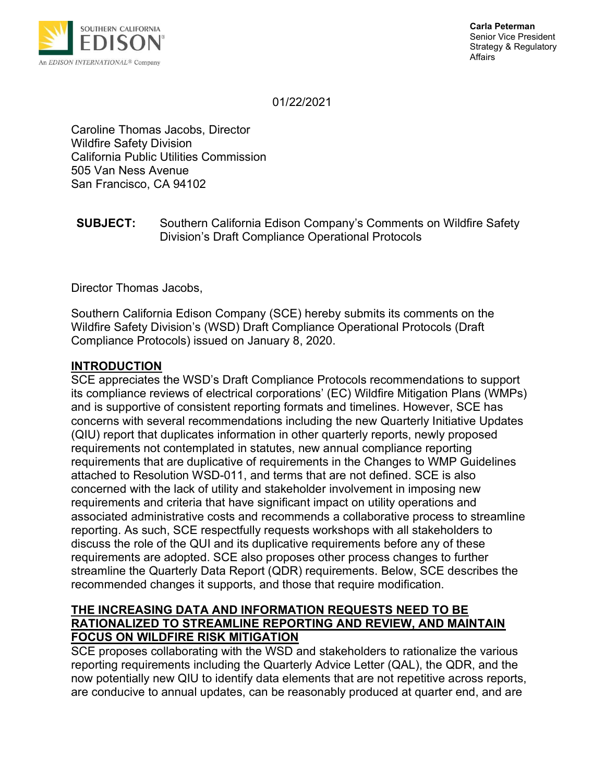

01/22/2021

Caroline Thomas Jacobs, Director Wildfire Safety Division California Public Utilities Commission 505 Van Ness Avenue San Francisco, CA 94102

### SUBJECT: Southern California Edison Company's Comments on Wildfire Safety Division's Draft Compliance Operational Protocols

Director Thomas Jacobs,

Southern California Edison Company (SCE) hereby submits its comments on the Wildfire Safety Division's (WSD) Draft Compliance Operational Protocols (Draft Compliance Protocols) issued on January 8, 2020.

### INTRODUCTION

SCE appreciates the WSD's Draft Compliance Protocols recommendations to support its compliance reviews of electrical corporations' (EC) Wildfire Mitigation Plans (WMPs) and is supportive of consistent reporting formats and timelines. However, SCE has concerns with several recommendations including the new Quarterly Initiative Updates (QIU) report that duplicates information in other quarterly reports, newly proposed requirements not contemplated in statutes, new annual compliance reporting requirements that are duplicative of requirements in the Changes to WMP Guidelines attached to Resolution WSD-011, and terms that are not defined. SCE is also concerned with the lack of utility and stakeholder involvement in imposing new requirements and criteria that have significant impact on utility operations and associated administrative costs and recommends a collaborative process to streamline reporting. As such, SCE respectfully requests workshops with all stakeholders to discuss the role of the QUI and its duplicative requirements before any of these requirements are adopted. SCE also proposes other process changes to further streamline the Quarterly Data Report (QDR) requirements. Below, SCE describes the recommended changes it supports, and those that require modification.

# THE INCREASING DATA AND INFORMATION REQUESTS NEED TO BE RATIONALIZED TO STREAMLINE REPORTING AND REVIEW, AND MAINTAIN FOCUS ON WILDFIRE RISK MITIGATION

SCE proposes collaborating with the WSD and stakeholders to rationalize the various reporting requirements including the Quarterly Advice Letter (QAL), the QDR, and the now potentially new QIU to identify data elements that are not repetitive across reports, are conducive to annual updates, can be reasonably produced at quarter end, and are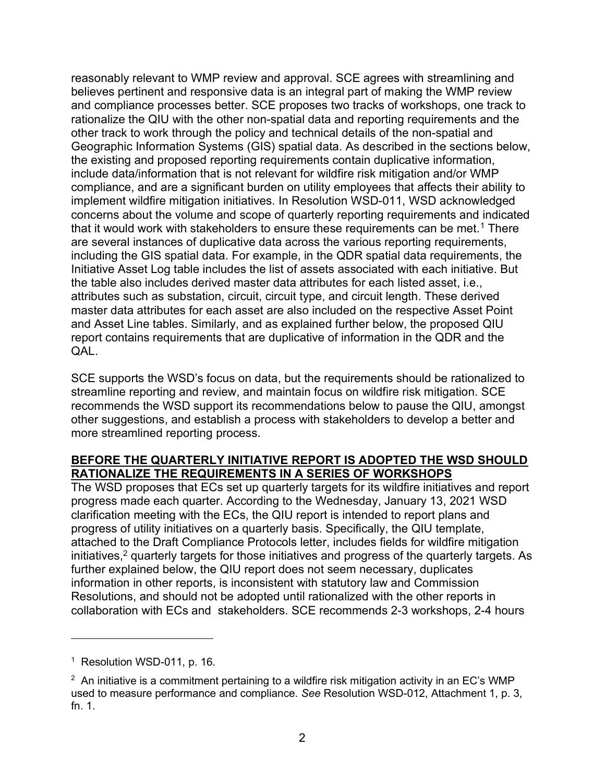reasonably relevant to WMP review and approval. SCE agrees with streamlining and believes pertinent and responsive data is an integral part of making the WMP review and compliance processes better. SCE proposes two tracks of workshops, one track to rationalize the QIU with the other non-spatial data and reporting requirements and the other track to work through the policy and technical details of the non-spatial and Geographic Information Systems (GIS) spatial data. As described in the sections below, the existing and proposed reporting requirements contain duplicative information, include data/information that is not relevant for wildfire risk mitigation and/or WMP compliance, and are a significant burden on utility employees that affects their ability to implement wildfire mitigation initiatives. In Resolution WSD-011, WSD acknowledged concerns about the volume and scope of quarterly reporting requirements and indicated that it would work with stakeholders to ensure these requirements can be met.<sup>1</sup> There are several instances of duplicative data across the various reporting requirements, including the GIS spatial data. For example, in the QDR spatial data requirements, the Initiative Asset Log table includes the list of assets associated with each initiative. But the table also includes derived master data attributes for each listed asset, i.e., attributes such as substation, circuit, circuit type, and circuit length. These derived master data attributes for each asset are also included on the respective Asset Point and Asset Line tables. Similarly, and as explained further below, the proposed QIU report contains requirements that are duplicative of information in the QDR and the QAL.

SCE supports the WSD's focus on data, but the requirements should be rationalized to streamline reporting and review, and maintain focus on wildfire risk mitigation. SCE recommends the WSD support its recommendations below to pause the QIU, amongst other suggestions, and establish a process with stakeholders to develop a better and more streamlined reporting process.

### BEFORE THE QUARTERLY INITIATIVE REPORT IS ADOPTED THE WSD SHOULD RATIONALIZE THE REQUIREMENTS IN A SERIES OF WORKSHOPS

The WSD proposes that ECs set up quarterly targets for its wildfire initiatives and report progress made each quarter. According to the Wednesday, January 13, 2021 WSD clarification meeting with the ECs, the QIU report is intended to report plans and progress of utility initiatives on a quarterly basis. Specifically, the QIU template, attached to the Draft Compliance Protocols letter, includes fields for wildfire mitigation initiatives,<sup>2</sup> quarterly targets for those initiatives and progress of the quarterly targets. As further explained below, the QIU report does not seem necessary, duplicates information in other reports, is inconsistent with statutory law and Commission Resolutions, and should not be adopted until rationalized with the other reports in collaboration with ECs and stakeholders. SCE recommends 2-3 workshops, 2-4 hours

<sup>&</sup>lt;sup>1</sup> Resolution WSD-011, p. 16.

 $2$  An initiative is a commitment pertaining to a wildfire risk mitigation activity in an EC's WMP used to measure performance and compliance. See Resolution WSD-012, Attachment 1, p. 3, fn. 1.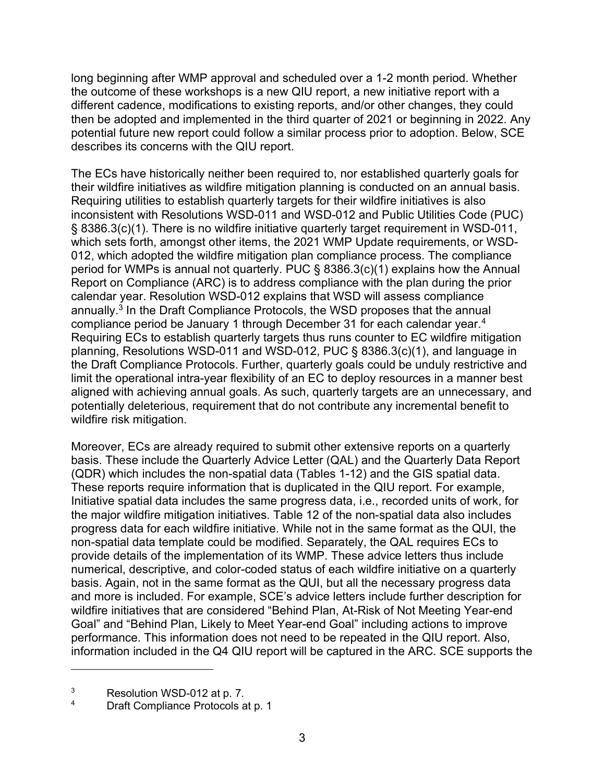long beginning after WMP approval and scheduled over a 1-2 month period. Whether the outcome of these workshops is a new QIU report, a new initiative report with a different cadence, modifications to existing reports, and/or other changes, they could then be adopted and implemented in the third quarter of 2021 or beginning in 2022. Any potential future new report could follow a similar process prior to adoption. Below, SCE describes its concerns with the QIU report.

The ECs have historically neither been required to, nor established quarterly goals for their wildfire initiatives as wildfire mitigation planning is conducted on an annual basis. Requiring utilities to establish quarterly targets for their wildfire initiatives is also inconsistent with Resolutions WSD-011 and WSD-012 and Public Utilities Code (PUC) § 8386.3(c)(1). There is no wildfire initiative quarterly target requirement in WSD-011, which sets forth, amongst other items, the 2021 WMP Update requirements, or WSD-012, which adopted the wildfire mitigation plan compliance process. The compliance period for WMPs is annual not quarterly. PUC § 8386.3(c)(1) explains how the Annual Report on Compliance (ARC) is to address compliance with the plan during the prior calendar year. Resolution WSD-012 explains that WSD will assess compliance annually.<sup>3</sup> In the Draft Compliance Protocols, the WSD proposes that the annual compliance period be January 1 through December 31 for each calendar year.<sup>4</sup> Requiring ECs to establish quarterly targets thus runs counter to EC wildfire mitigation planning, Resolutions WSD-011 and WSD-012, PUC § 8386.3(c)(1), and language in the Draft Compliance Protocols. Further, quarterly goals could be unduly restrictive and limit the operational intra-year flexibility of an EC to deploy resources in a manner best aligned with achieving annual goals. As such, quarterly targets are an unnecessary, and potentially deleterious, requirement that do not contribute any incremental benefit to wildfire risk mitigation.

Moreover, ECs are already required to submit other extensive reports on a quarterly basis. These include the Quarterly Advice Letter (QAL) and the Quarterly Data Report (QDR) which includes the non-spatial data (Tables 1-12) and the GIS spatial data. These reports require information that is duplicated in the QIU report. For example, Initiative spatial data includes the same progress data, i.e., recorded units of work, for the major wildfire mitigation initiatives. Table 12 of the non-spatial data also includes progress data for each wildfire initiative. While not in the same format as the QUI, the non-spatial data template could be modified. Separately, the QAL requires ECs to provide details of the implementation of its WMP. These advice letters thus include numerical, descriptive, and color-coded status of each wildfire initiative on a quarterly basis. Again, not in the same format as the QUI, but all the necessary progress data and more is included. For example, SCE's advice letters include further description for wildfire initiatives that are considered "Behind Plan, At-Risk of Not Meeting Year-end Goal" and "Behind Plan, Likely to Meet Year-end Goal" including actions to improve performance. This information does not need to be repeated in the QIU report. Also, information included in the Q4 QIU report will be captured in the ARC. SCE supports the

3 Resolution WSD-012 at p. 7.

4 Draft Compliance Protocols at p. 1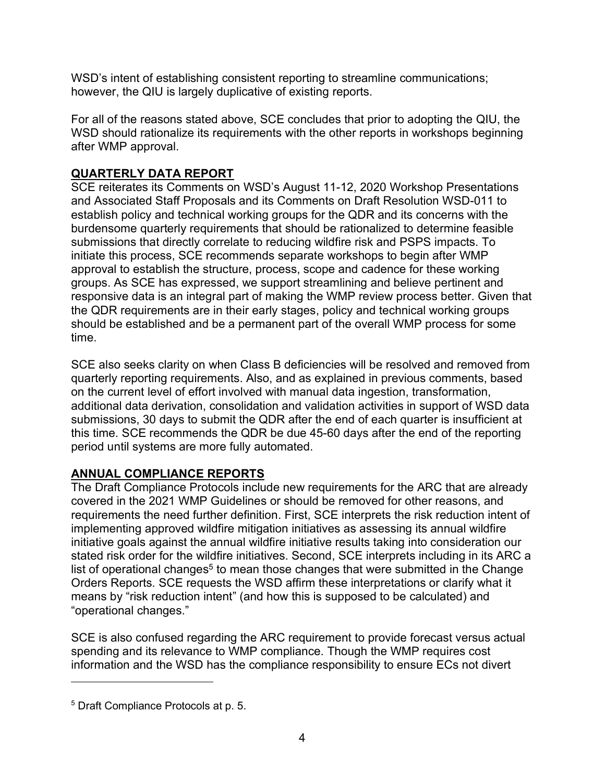WSD's intent of establishing consistent reporting to streamline communications; however, the QIU is largely duplicative of existing reports.

For all of the reasons stated above, SCE concludes that prior to adopting the QIU, the WSD should rationalize its requirements with the other reports in workshops beginning after WMP approval.

# QUARTERLY DATA REPORT

SCE reiterates its Comments on WSD's August 11-12, 2020 Workshop Presentations and Associated Staff Proposals and its Comments on Draft Resolution WSD-011 to establish policy and technical working groups for the QDR and its concerns with the burdensome quarterly requirements that should be rationalized to determine feasible submissions that directly correlate to reducing wildfire risk and PSPS impacts. To initiate this process, SCE recommends separate workshops to begin after WMP approval to establish the structure, process, scope and cadence for these working groups. As SCE has expressed, we support streamlining and believe pertinent and responsive data is an integral part of making the WMP review process better. Given that the QDR requirements are in their early stages, policy and technical working groups should be established and be a permanent part of the overall WMP process for some time.

SCE also seeks clarity on when Class B deficiencies will be resolved and removed from quarterly reporting requirements. Also, and as explained in previous comments, based on the current level of effort involved with manual data ingestion, transformation, additional data derivation, consolidation and validation activities in support of WSD data submissions, 30 days to submit the QDR after the end of each quarter is insufficient at this time. SCE recommends the QDR be due 45-60 days after the end of the reporting period until systems are more fully automated.

# ANNUAL COMPLIANCE REPORTS

The Draft Compliance Protocols include new requirements for the ARC that are already covered in the 2021 WMP Guidelines or should be removed for other reasons, and requirements the need further definition. First, SCE interprets the risk reduction intent of implementing approved wildfire mitigation initiatives as assessing its annual wildfire initiative goals against the annual wildfire initiative results taking into consideration our stated risk order for the wildfire initiatives. Second, SCE interprets including in its ARC a list of operational changes $^5$  to mean those changes that were submitted in the Change Orders Reports. SCE requests the WSD affirm these interpretations or clarify what it means by "risk reduction intent" (and how this is supposed to be calculated) and "operational changes."

SCE is also confused regarding the ARC requirement to provide forecast versus actual spending and its relevance to WMP compliance. Though the WMP requires cost information and the WSD has the compliance responsibility to ensure ECs not divert

<sup>5</sup> Draft Compliance Protocols at p. 5.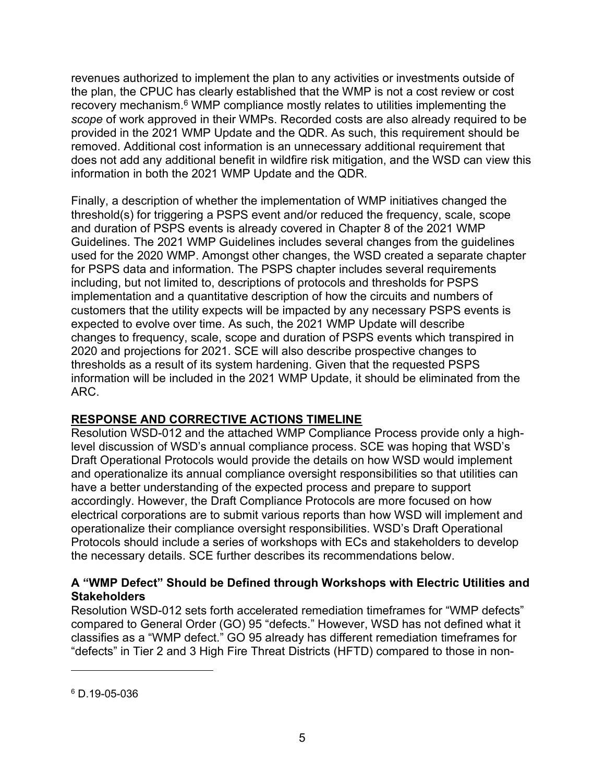revenues authorized to implement the plan to any activities or investments outside of the plan, the CPUC has clearly established that the WMP is not a cost review or cost recovery mechanism.<sup>6</sup> WMP compliance mostly relates to utilities implementing the scope of work approved in their WMPs. Recorded costs are also already required to be provided in the 2021 WMP Update and the QDR. As such, this requirement should be removed. Additional cost information is an unnecessary additional requirement that does not add any additional benefit in wildfire risk mitigation, and the WSD can view this information in both the 2021 WMP Update and the QDR.

Finally, a description of whether the implementation of WMP initiatives changed the threshold(s) for triggering a PSPS event and/or reduced the frequency, scale, scope and duration of PSPS events is already covered in Chapter 8 of the 2021 WMP Guidelines. The 2021 WMP Guidelines includes several changes from the guidelines used for the 2020 WMP. Amongst other changes, the WSD created a separate chapter for PSPS data and information. The PSPS chapter includes several requirements including, but not limited to, descriptions of protocols and thresholds for PSPS implementation and a quantitative description of how the circuits and numbers of customers that the utility expects will be impacted by any necessary PSPS events is expected to evolve over time. As such, the 2021 WMP Update will describe changes to frequency, scale, scope and duration of PSPS events which transpired in 2020 and projections for 2021. SCE will also describe prospective changes to thresholds as a result of its system hardening. Given that the requested PSPS information will be included in the 2021 WMP Update, it should be eliminated from the ARC.

# RESPONSE AND CORRECTIVE ACTIONS TIMELINE

Resolution WSD-012 and the attached WMP Compliance Process provide only a highlevel discussion of WSD's annual compliance process. SCE was hoping that WSD's Draft Operational Protocols would provide the details on how WSD would implement and operationalize its annual compliance oversight responsibilities so that utilities can have a better understanding of the expected process and prepare to support accordingly. However, the Draft Compliance Protocols are more focused on how electrical corporations are to submit various reports than how WSD will implement and operationalize their compliance oversight responsibilities. WSD's Draft Operational Protocols should include a series of workshops with ECs and stakeholders to develop the necessary details. SCE further describes its recommendations below.

# A "WMP Defect" Should be Defined through Workshops with Electric Utilities and **Stakeholders**

Resolution WSD-012 sets forth accelerated remediation timeframes for "WMP defects" compared to General Order (GO) 95 "defects." However, WSD has not defined what it classifies as a "WMP defect." GO 95 already has different remediation timeframes for "defects" in Tier 2 and 3 High Fire Threat Districts (HFTD) compared to those in non-

<sup>6</sup> D.19-05-036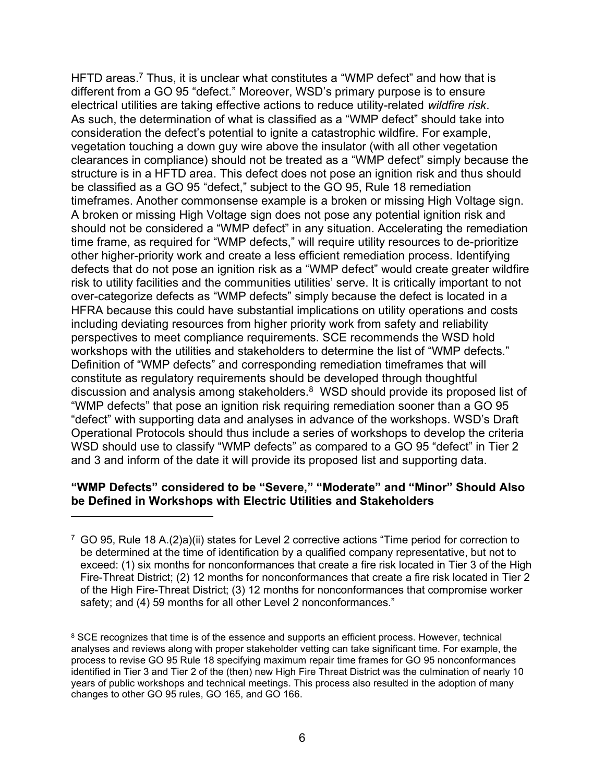HFTD areas.<sup>7</sup> Thus, it is unclear what constitutes a "WMP defect" and how that is different from a GO 95 "defect." Moreover, WSD's primary purpose is to ensure electrical utilities are taking effective actions to reduce utility-related wildfire risk. As such, the determination of what is classified as a "WMP defect" should take into consideration the defect's potential to ignite a catastrophic wildfire. For example, vegetation touching a down guy wire above the insulator (with all other vegetation clearances in compliance) should not be treated as a "WMP defect" simply because the structure is in a HFTD area. This defect does not pose an ignition risk and thus should be classified as a GO 95 "defect," subject to the GO 95, Rule 18 remediation timeframes. Another commonsense example is a broken or missing High Voltage sign. A broken or missing High Voltage sign does not pose any potential ignition risk and should not be considered a "WMP defect" in any situation. Accelerating the remediation time frame, as required for "WMP defects," will require utility resources to de-prioritize other higher-priority work and create a less efficient remediation process. Identifying defects that do not pose an ignition risk as a "WMP defect" would create greater wildfire risk to utility facilities and the communities utilities' serve. It is critically important to not over-categorize defects as "WMP defects" simply because the defect is located in a HFRA because this could have substantial implications on utility operations and costs including deviating resources from higher priority work from safety and reliability perspectives to meet compliance requirements. SCE recommends the WSD hold workshops with the utilities and stakeholders to determine the list of "WMP defects." Definition of "WMP defects" and corresponding remediation timeframes that will constitute as regulatory requirements should be developed through thoughtful discussion and analysis among stakeholders.<sup>8</sup> WSD should provide its proposed list of "WMP defects" that pose an ignition risk requiring remediation sooner than a GO 95 "defect" with supporting data and analyses in advance of the workshops. WSD's Draft Operational Protocols should thus include a series of workshops to develop the criteria WSD should use to classify "WMP defects" as compared to a GO 95 "defect" in Tier 2 and 3 and inform of the date it will provide its proposed list and supporting data.

# "WMP Defects" considered to be "Severe," "Moderate" and "Minor" Should Also be Defined in Workshops with Electric Utilities and Stakeholders

 $7$  GO 95, Rule 18 A.(2)a)(ii) states for Level 2 corrective actions "Time period for correction to be determined at the time of identification by a qualified company representative, but not to exceed: (1) six months for nonconformances that create a fire risk located in Tier 3 of the High Fire-Threat District; (2) 12 months for nonconformances that create a fire risk located in Tier 2 of the High Fire-Threat District; (3) 12 months for nonconformances that compromise worker safety; and (4) 59 months for all other Level 2 nonconformances."

<sup>&</sup>lt;sup>8</sup> SCE recognizes that time is of the essence and supports an efficient process. However, technical analyses and reviews along with proper stakeholder vetting can take significant time. For example, the process to revise GO 95 Rule 18 specifying maximum repair time frames for GO 95 nonconformances identified in Tier 3 and Tier 2 of the (then) new High Fire Threat District was the culmination of nearly 10 years of public workshops and technical meetings. This process also resulted in the adoption of many changes to other GO 95 rules, GO 165, and GO 166.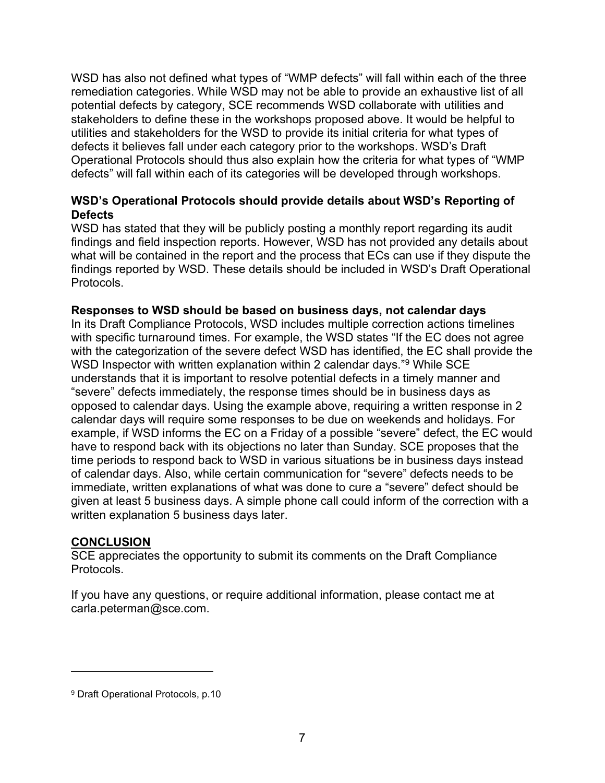WSD has also not defined what types of "WMP defects" will fall within each of the three remediation categories. While WSD may not be able to provide an exhaustive list of all potential defects by category, SCE recommends WSD collaborate with utilities and stakeholders to define these in the workshops proposed above. It would be helpful to utilities and stakeholders for the WSD to provide its initial criteria for what types of defects it believes fall under each category prior to the workshops. WSD's Draft Operational Protocols should thus also explain how the criteria for what types of "WMP defects" will fall within each of its categories will be developed through workshops.

# WSD's Operational Protocols should provide details about WSD's Reporting of Defects

WSD has stated that they will be publicly posting a monthly report regarding its audit findings and field inspection reports. However, WSD has not provided any details about what will be contained in the report and the process that ECs can use if they dispute the findings reported by WSD. These details should be included in WSD's Draft Operational Protocols.

### Responses to WSD should be based on business days, not calendar days

In its Draft Compliance Protocols, WSD includes multiple correction actions timelines with specific turnaround times. For example, the WSD states "If the EC does not agree with the categorization of the severe defect WSD has identified, the EC shall provide the WSD Inspector with written explanation within 2 calendar days."<sup>9</sup> While SCE understands that it is important to resolve potential defects in a timely manner and "severe" defects immediately, the response times should be in business days as opposed to calendar days. Using the example above, requiring a written response in 2 calendar days will require some responses to be due on weekends and holidays. For example, if WSD informs the EC on a Friday of a possible "severe" defect, the EC would have to respond back with its objections no later than Sunday. SCE proposes that the time periods to respond back to WSD in various situations be in business days instead of calendar days. Also, while certain communication for "severe" defects needs to be immediate, written explanations of what was done to cure a "severe" defect should be given at least 5 business days. A simple phone call could inform of the correction with a written explanation 5 business days later.

### **CONCLUSION**

SCE appreciates the opportunity to submit its comments on the Draft Compliance Protocols.

If you have any questions, or require additional information, please contact me at carla.peterman@sce.com.

<sup>9</sup> Draft Operational Protocols, p.10